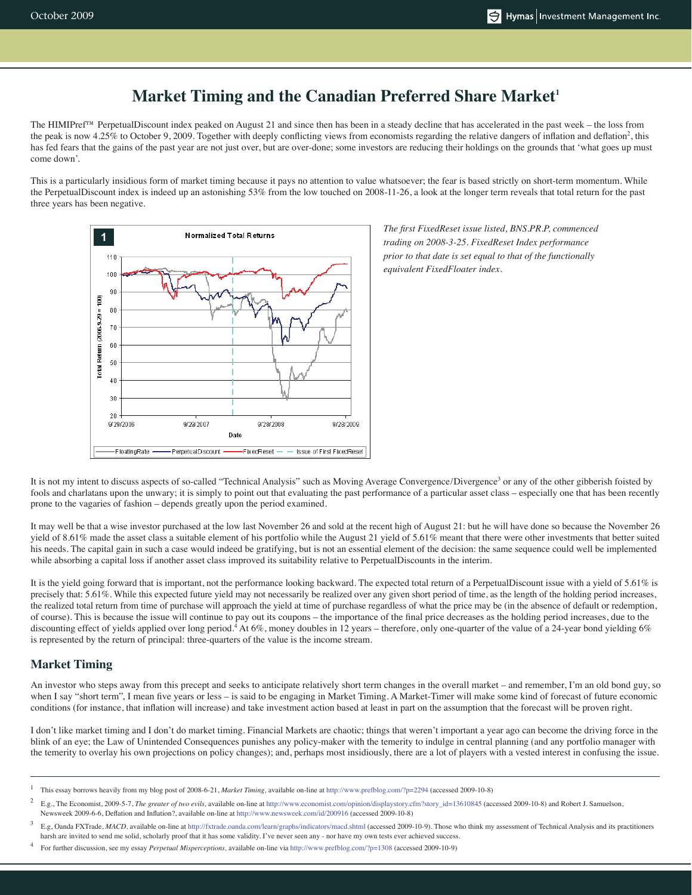# **Market Timing and the Canadian Preferred Share Market<sup>1</sup>**

The HIMIPref™ PerpetualDiscount index peaked on August 21 and since then has been in a steady decline that has accelerated in the past week – the loss from the peak is now 4.25% to October 9, 2009. Together with deeply conflicting views from economists regarding the relative dangers of inflation and deflation<sup>2</sup>, this has fed fears that the gains of the past year are not just over, but are over-done; some investors are reducing their holdings on the grounds that 'what goes up must come down'.

This is a particularly insidious form of market timing because it pays no attention to value whatsoever; the fear is based strictly on short-term momentum. While the PerpetualDiscount index is indeed up an astonishing 53% from the low touched on 2008-11-26, a look at the longer term reveals that total return for the past three years has been negative.



*trading on 2008-3-25. FixedReset Index performance prior to that date is set equal to that of the functionally equivalent FixedFloater index.*

It is not my intent to discuss aspects of so-called "Technical Analysis" such as Moving Average Convergence/Divergence<sup>3</sup> or any of the other gibberish foisted by fools and charlatans upon the unwary; it is simply to point out that evaluating the past performance of a particular asset class – especially one that has been recently prone to the vagaries of fashion – depends greatly upon the period examined.

It may well be that a wise investor purchased at the low last November 26 and sold at the recent high of August 21: but he will have done so because the November 26 yield of 8.61% made the asset class a suitable element of his portfolio while the August 21 yield of 5.61% meant that there were other investments that better suited his needs. The capital gain in such a case would indeed be gratifying, but is not an essential element of the decision: the same sequence could well be implemented while absorbing a capital loss if another asset class improved its suitability relative to PerpetualDiscounts in the interim.

It is the yield going forward that is important, not the performance looking backward. The expected total return of a PerpetualDiscount issue with a yield of 5.61% is precisely that: 5.61%. While this expected future yield may not necessarily be realized over any given short period of time, as the length of the holding period increases, the realized total return from time of purchase will approach the yield at time of purchase regardless of what the price may be (in the absence of default or redemption, of course). This is because the issue will continue to pay out its coupons – the importance of the final price decreases as the holding period increases, due to the discounting effect of yields applied over long period.<sup>4</sup> At 6%, money doubles in 12 years – therefore, only one-quarter of the value of a 24-year bond yielding 6% is represented by the return of principal: three-quarters of the value is the income stream.

## **Market Timing**

An investor who steps away from this precept and seeks to anticipate relatively short term changes in the overall market – and remember, I'm an old bond guy, so when I say "short term", I mean five years or less – is said to be engaging in Market Timing. A Market-Timer will make some kind of forecast of future economic conditions (for instance, that inflation will increase) and take investment action based at least in part on the assumption that the forecast will be proven right.

I don't like market timing and I don't do market timing. Financial Markets are chaotic; things that weren't important a year ago can become the driving force in the blink of an eye; the Law of Unintended Consequences punishes any policy-maker with the temerity to indulge in central planning (and any portfolio manager with the temerity to overlay his own projections on policy changes); and, perhaps most insidiously, there are a lot of players with a vested interest in confusing the issue.

4 For further discussion, see my essay *Perpetual Misperceptions,* available on-line via http://www.prefblog.com/?p=1308 (accessed 2009-10-9)

<sup>1</sup> This essay borrows heavily from my blog post of 2008-6-21, *Market Timing,* available on-line at http://www.prefblog.com/?p=2294 (accessed 2009-10-8)

<sup>2</sup> E.g., The Economist, 2009-5-7, *The greater of two evils,* available on-line at http://www.economist.com/opinion/displaystory.cfm?story\_id=13610845 (accessed 2009-10-8) and Robert J. Samuelson, Newsweek 2009-6-6, Deflation and Inflation?, available on-line at http://www.newsweek.com/id/200916 (accessed 2009-10-8)

<sup>3</sup> E.g, Oanda FXTrade, *MACD,* available on-line at http://fxtrade.oanda.com/learn/graphs/indicators/macd.shtml (accessed 2009-10-9). Those who think my assessment of Technical Analysis and its practitioners harsh are invited to send me solid, scholarly proof that it has some validity. I've never seen any - nor have my own tests ever achieved success.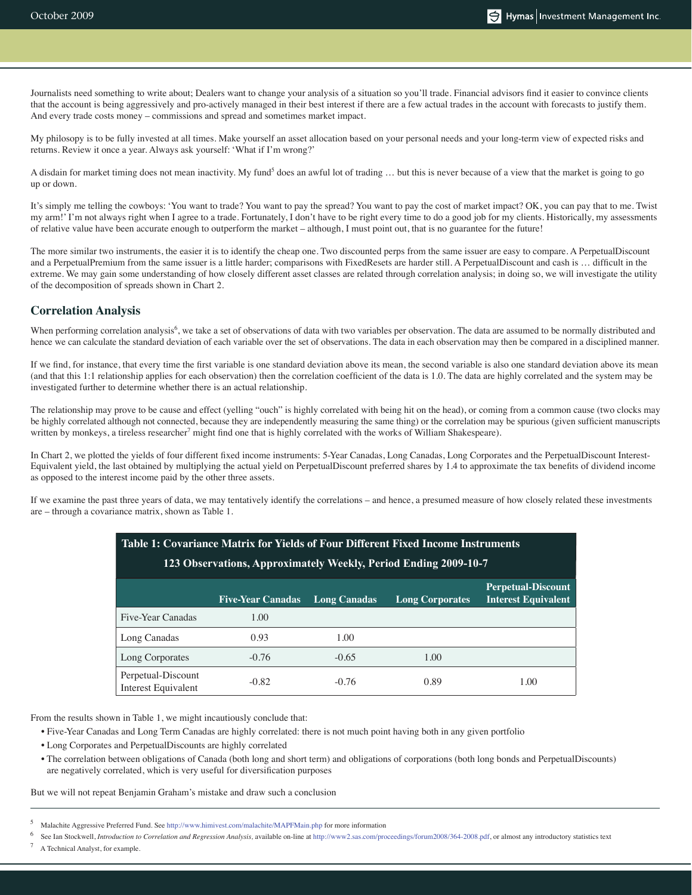Journalists need something to write about; Dealers want to change your analysis of a situation so you'll trade. Financial advisors find it easier to convince clients that the account is being aggressively and pro-actively managed in their best interest if there are a few actual trades in the account with forecasts to justify them. And every trade costs money – commissions and spread and sometimes market impact.

My philosopy is to be fully invested at all times. Make yourself an asset allocation based on your personal needs and your long-term view of expected risks and returns. Review it once a year. Always ask yourself: 'What if I'm wrong?'

A disdain for market timing does not mean inactivity. My fund<sup>5</sup> does an awful lot of trading ... but this is never because of a view that the market is going to go up or down.

It's simply me telling the cowboys: 'You want to trade? You want to pay the spread? You want to pay the cost of market impact? OK, you can pay that to me. Twist my arm!' I'm not always right when I agree to a trade. Fortunately, I don't have to be right every time to do a good job for my clients. Historically, my assessments of relative value have been accurate enough to outperform the market – although, I must point out, that is no guarantee for the future!

The more similar two instruments, the easier it is to identify the cheap one. Two discounted perps from the same issuer are easy to compare. A PerpetualDiscount and a PerpetualPremium from the same issuer is a little harder; comparisons with FixedResets are harder still. A PerpetualDiscount and cash is ... difficult in the extreme. We may gain some understanding of how closely different asset classes are related through correlation analysis; in doing so, we will investigate the utility of the decomposition of spreads shown in Chart 2.

#### **Correlation Analysis**

When performing correlation analysis<sup>6</sup>, we take a set of observations of data with two variables per observation. The data are assumed to be normally distributed and hence we can calculate the standard deviation of each variable over the set of observations. The data in each observation may then be compared in a disciplined manner.

If we find, for instance, that every time the first variable is one standard deviation above its mean, the second variable is also one standard deviation above its mean (and that this 1:1 relationship applies for each observation) then the correlation coefficient of the data is 1.0. The data are highly correlated and the system may be investigated further to determine whether there is an actual relationship.

The relationship may prove to be cause and effect (yelling "ouch" is highly correlated with being hit on the head), or coming from a common cause (two clocks may be highly correlated although not connected, because they are independently measuring the same thing) or the correlation may be spurious (given sufficient manuscripts written by monkeys, a tireless researcher<sup>7</sup> might find one that is highly correlated with the works of William Shakespeare).

In Chart 2, we plotted the yields of four different fixed income instruments: 5-Year Canadas, Long Canadas, Long Corporates and the PerpetualDiscount Interest-Equivalent yield, the last obtained by multiplying the actual yield on PerpetualDiscount preferred shares by 1.4 to approximate the tax benefits of dividend income as opposed to the interest income paid by the other three assets.

If we examine the past three years of data, we may tentatively identify the correlations – and hence, a presumed measure of how closely related these investments are – through a covariance matrix, shown as Table 1.

| Table 1: Covariance Matrix for Yields of Four Different Fixed Income Instruments<br>123 Observations, Approximately Weekly, Period Ending 2009-10-7 |                          |                     |                        |                                                         |
|-----------------------------------------------------------------------------------------------------------------------------------------------------|--------------------------|---------------------|------------------------|---------------------------------------------------------|
|                                                                                                                                                     | <b>Five-Year Canadas</b> | <b>Long Canadas</b> | <b>Long Corporates</b> | <b>Perpetual-Discount</b><br><b>Interest Equivalent</b> |
| Five-Year Canadas                                                                                                                                   | 1.00                     |                     |                        |                                                         |
| Long Canadas                                                                                                                                        | 0.93                     | 1.00                |                        |                                                         |
| Long Corporates                                                                                                                                     | $-0.76$                  | $-0.65$             | 1.00                   |                                                         |
| Perpetual-Discount<br>Interest Equivalent                                                                                                           | $-0.82$                  | $-0.76$             | 0.89                   | 1.00                                                    |

From the results shown in Table 1, we might incautiously conclude that:

- Five-Year Canadas and Long Term Canadas are highly correlated: there is not much point having both in any given portfolio
- Long Corporates and PerpetualDiscounts are highly correlated
- The correlation between obligations of Canada (both long and short term) and obligations of corporations (both long bonds and PerpetualDiscounts) are negatively correlated, which is very useful for diversification purposes

But we will not repeat Benjamin Graham's mistake and draw such a conclusion

<sup>7</sup> A Technical Analyst, for example.

<sup>5</sup> Malachite Aggressive Preferred Fund. See http://www.himivest.com/malachite/MAPFMain.php for more information

<sup>6</sup> See Ian Stockwell, *Introduction to Correlation and Regression Analysis*, available on-line at http://www2.sas.com/proceedings/forum2008/364-2008.pdf, or almost any introductory statistics text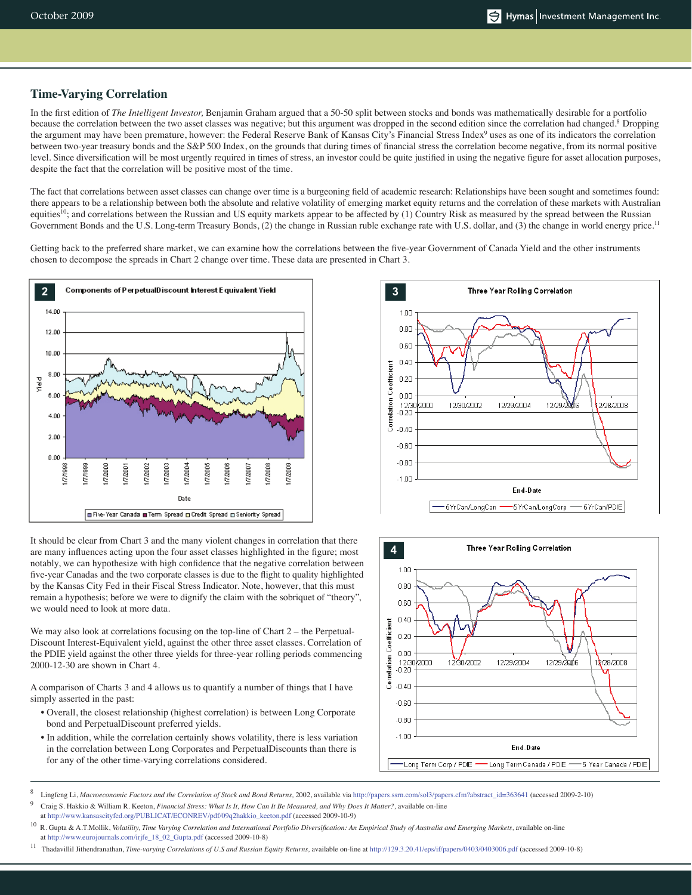#### **Time-Varying Correlation**

In the first edition of *The Intelligent Investor,* Benjamin Graham argued that a 50-50 split between stocks and bonds was mathematically desirable for a portfolio because the correlation between the two asset classes was negative; but this argument was dropped in the second edition since the correlation had changed.<sup>8</sup> Dropping the argument may have been premature, however: the Federal Reserve Bank of Kansas City's Financial Stress Index<sup>9</sup> uses as one of its indicators the correlation between two-year treasury bonds and the S&P 500 Index, on the grounds that during times of financial stress the correlation become negative, from its normal positive level. Since diversification will be most urgently required in times of stress, an investor could be quite justified in using the negative figure for asset allocation purposes, despite the fact that the correlation will be positive most of the time.

The fact that correlations between asset classes can change over time is a burgeoning field of academic research: Relationships have been sought and sometimes found: there appears to be a relationship between both the absolute and relative volatility of emerging market equity returns and the correlation of these markets with Australian equities<sup>10</sup>; and correlations between the Russian and US equity markets appear to be affected by  $(1)$  Country Risk as measured by the spread between the Russian Government Bonds and the U.S. Long-term Treasury Bonds, (2) the change in Russian ruble exchange rate with U.S. dollar, and (3) the change in world energy price.<sup>11</sup>

Getting back to the preferred share market, we can examine how the correlations between the five-year Government of Canada Yield and the other instruments chosen to decompose the spreads in Chart 2 change over time. These data are presented in Chart 3.



It should be clear from Chart 3 and the many violent changes in correlation that there<br>are many influences acting upon the four asset classes highlighted in the figure: most are many influences acting upon the four asset classes highlighted in the figure; most notably, we can hypothesize with high confidence that the negative correlation between five-year Canadas and the two corporate classes is due to the flight to quality highlighted by the Kansas City Fed in their Fiscal Stress Indicator. Note, however, that this must remain a hypothesis; before we were to dignify the claim with the sobriquet of "theory", we would need to look at more data.

We may also look at correlations focusing on the top-line of Chart 2 – the Perpetual-Discount Interest-Equivalent yield, against the other three asset classes. Correlation of the PDIE yield against the other three yields for three-year rolling periods commencing 2000-12-30 are shown in Chart 4.

A comparison of Charts 3 and 4 allows us to quantify a number of things that I have simply asserted in the past:

- Overall, the closest relationship (highest correlation) is between Long Corporate bond and PerpetualDiscount preferred yields.
- In addition, while the correlation certainly shows volatility, there is less variation in the correlation between Long Corporates and PerpetualDiscounts than there is for any of the other time-varying correlations considered.





<sup>8</sup> Lingfeng Li, *Macroeconomic Factors and the Correlation of Stock and Bond Returns,* 2002, available via http://papers.ssrn.com/sol3/papers.cfm?abstract\_id=363641 (accessed 2009-2-10)

9 Craig S. Hakkio & William R. Keeton, *Financial Stress: What Is It, How Can It Be Measured, and Why Does It Matter?*, available on-line at http://www.kansascityfed.org/PUBLICAT/ECONREV/pdf/09q2hakkio\_keeton.pdf (accessed 2009-10-9)

10 R. Gupta & A.T.Mollik, *Volatility, Time Varying Correlation and International Portfolio Diversification: An Empirical Study of Australia and Emerging Markets,* available on-line at http://www.eurojournals.com/irjfe\_18\_02\_Gupta.pdf (accessed 2009-10-8)

11 Thadavillil Jithendranathan, *Time-varying Correlations of U.S and Russian Equity Returns,* available on-line at http://129.3.20.41/eps/if/papers/0403/0403006.pdf (accessed 2009-10-8)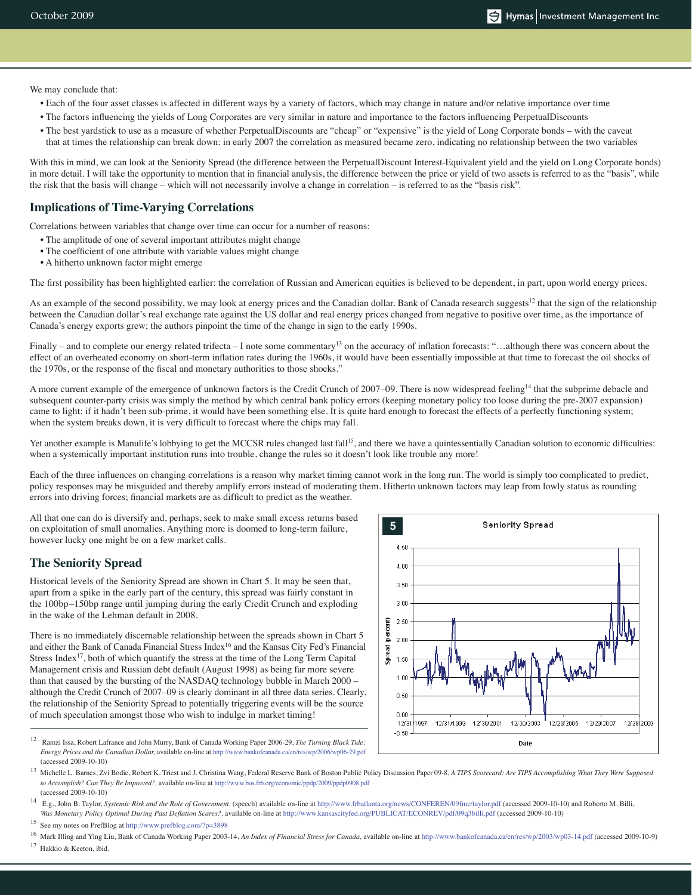We may conclude that:

- Each of the four asset classes is affected in different ways by a variety of factors, which may change in nature and/or relative importance over time
- The factors influencing the yields of Long Corporates are very similar in nature and importance to the factors influencing PerpetualDiscounts
- The best yardstick to use as a measure of whether PerpetualDiscounts are "cheap" or "expensive" is the yield of Long Corporate bonds with the caveat that at times the relationship can break down: in early 2007 the correlation as measured became zero, indicating no relationship between the two variables

With this in mind, we can look at the Seniority Spread (the difference between the PerpetualDiscount Interest-Equivalent yield and the yield on Long Corporate bonds) in more detail. I will take the opportunity to mention that in financial analysis, the difference between the price or yield of two assets is referred to as the "basis", while the risk that the basis will change – which will not necessarily involve a change in correlation – is referred to as the "basis risk".

#### **Implications of Time-Varying Correlations**

Correlations between variables that change over time can occur for a number of reasons:

- The amplitude of one of several important attributes might change
- The coefficient of one attribute with variable values might change
- A hitherto unknown factor might emerge

The first possibility has been highlighted earlier: the correlation of Russian and American equities is believed to be dependent, in part, upon world energy prices.

As an example of the second possibility, we may look at energy prices and the Canadian dollar. Bank of Canada research suggests<sup>12</sup> that the sign of the relationship between the Canadian dollar's real exchange rate against the US dollar and real energy prices changed from negative to positive over time, as the importance of Canada's energy exports grew; the authors pinpoint the time of the change in sign to the early 1990s.

Finally – and to complete our energy related trifecta – I note some commentary<sup>13</sup> on the accuracy of inflation forecasts: "...although there was concern about the effect of an overheated economy on short-term inflation rates during the 1960s, it would have been essentially impossible at that time to forecast the oil shocks of the 1970s, or the response of the fiscal and monetary authorities to those shocks."

A more current example of the emergence of unknown factors is the Credit Crunch of 2007–09. There is now widespread feeling<sup>14</sup> that the subprime debacle and subsequent counter-party crisis was simply the method by which central bank policy errors (keeping monetary policy too loose during the pre-2007 expansion) came to light: if it hadn't been sub-prime, it would have been something else. It is quite hard enough to forecast the effects of a perfectly functioning system; when the system breaks down, it is very difficult to forecast where the chips may fall.

Yet another example is Manulife's lobbying to get the MCCSR rules changed last fall<sup>15</sup>, and there we have a quintessentially Canadian solution to economic difficulties: when a systemically important institution runs into trouble, change the rules so it doesn't look like trouble any more!

Each of the three influences on changing correlations is a reason why market timing cannot work in the long run. The world is simply too complicated to predict, policy responses may be misguided and thereby amplify errors instead of moderating them. Hitherto unknown factors may leap from lowly status as rounding errors into driving forces; financial markets are as difficult to predict as the weather.

All that one can do is diversify and, perhaps, seek to make small excess returns based on exploitation of small anomalies. Anything more is doomed to long-term failure, however lucky one might be on a few market calls.

### **The Seniority Spread**

Historical levels of the Seniority Spread are shown in Chart 5. It may be seen that, apart from a spike in the early part of the century, this spread was fairly constant in the 100bp–150bp range until jumping during the early Credit Crunch and exploding in the wake of the Lehman default in 2008.

There is no immediately discernable relationship between the spreads shown in Chart 5 and either the Bank of Canada Financial Stress Index<sup>16</sup> and the Kansas City Fed's Financial Stress Index<sup>17</sup>, both of which quantify the stress at the time of the Long Term Capital Management crisis and Russian debt default (August 1998) as being far more severe than that caused by the bursting of the NASDAQ technology bubble in March 2000 – although the Credit Crunch of 2007–09 is clearly dominant in all three data series. Clearly, the relationship of the Seniority Spread to potentially triggering events will be the source of much speculation amongst those who wish to indulge in market timing!



12 Ramzi Issa, Robert Lafrance and John Murry, Bank of Canada Working Paper 2006-29, *The Turning Black Tide: Energy Prices and the Canadian Dollar,* available on-line at http://www.bankofcanada.ca/en/res/wp/2006/wp06-29.pdf (accessed 2009-10-10)

13 Michelle L. Barnes, Zvi Bodie, Robert K. Triest and J. Christina Wang, Federal Reserve Bank of Boston Public Policy Discussion Paper 09-8, *A TIPS Scorecard: Are TIPS Accomplishing What They Were Supposed to Accomplish? Can They Be Improved?,* available on-line at http://www.bos.frb.org/economic/ppdp/2009/ppdp0908.pdf (accessed 2009-10-10)

14 E.g., John B. Taylor, *Systemic Risk and the Role of Government,* (speech) available on-line at http://www.frbatlanta.org/news/CONFEREN/09fmc/taylor.pdf (accessed 2009-10-10) and Roberto M. Billi, *Was Monetary Policy Optimal During Past Deflation Scares?,* available on-line at http://www.kansascityfed.org/PUBLICAT/ECONREV/pdf/09q3billi.pdf (accessed 2009-10-10)

15 See my notes on PrefBlog at http://www.prefblog.com/?p=3898

16 Mark Illing and Ying Liu, Bank of Canada Working Paper 2003-14, *An Index of Financial Stress for Canada,* available on-line at http://www.bankofcanada.ca/en/res/wp/2003/wp03-14.pdf (accessed 2009-10-9) 17 Hakkio & Keeton, ibid.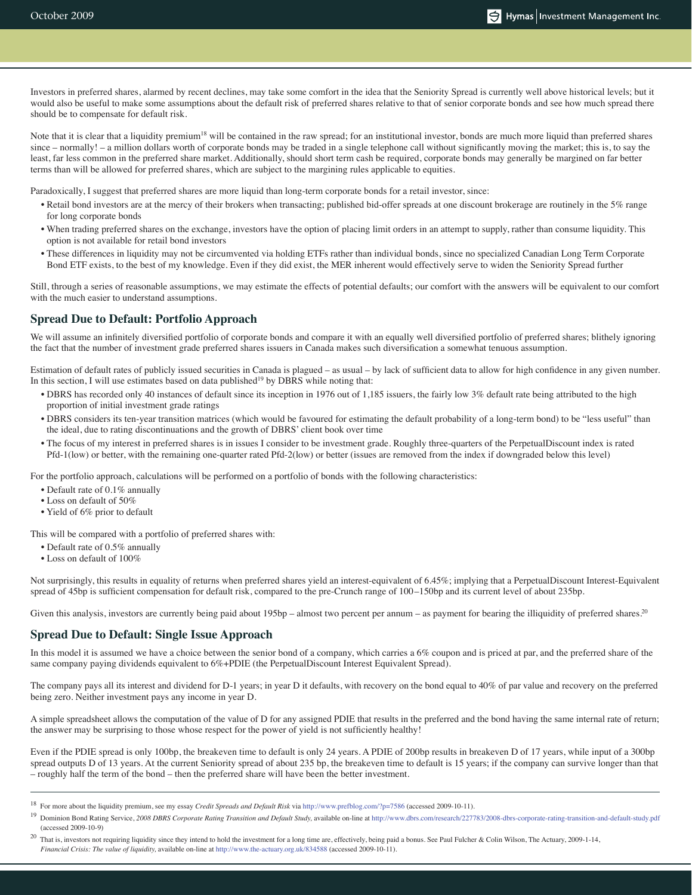Investors in preferred shares, alarmed by recent declines, may take some comfort in the idea that the Seniority Spread is currently well above historical levels; but it would also be useful to make some assumptions about the default risk of preferred shares relative to that of senior corporate bonds and see how much spread there should be to compensate for default risk.

Note that it is clear that a liquidity premium<sup>18</sup> will be contained in the raw spread; for an institutional investor, bonds are much more liquid than preferred shares since – normally! – a million dollars worth of corporate bonds may be traded in a single telephone call without significantly moving the market; this is, to say the least, far less common in the preferred share market. Additionally, should short term cash be required, corporate bonds may generally be margined on far better terms than will be allowed for preferred shares, which are subject to the margining rules applicable to equities.

Paradoxically, I suggest that preferred shares are more liquid than long-term corporate bonds for a retail investor, since:

- Retail bond investors are at the mercy of their brokers when transacting; published bid-offer spreads at one discount brokerage are routinely in the 5% range for long corporate bonds
- When trading preferred shares on the exchange, investors have the option of placing limit orders in an attempt to supply, rather than consume liquidity. This option is not available for retail bond investors
- These differences in liquidity may not be circumvented via holding ETFs rather than individual bonds, since no specialized Canadian Long Term Corporate Bond ETF exists, to the best of my knowledge. Even if they did exist, the MER inherent would effectively serve to widen the Seniority Spread further

Still, through a series of reasonable assumptions, we may estimate the effects of potential defaults; our comfort with the answers will be equivalent to our comfort with the much easier to understand assumptions.

#### **Spread Due to Default: Portfolio Approach**

We will assume an infinitely diversified portfolio of corporate bonds and compare it with an equally well diversified portfolio of preferred shares; blithely ignoring the fact that the number of investment grade preferred shares issuers in Canada makes such diversification a somewhat tenuous assumption.

Estimation of default rates of publicly issued securities in Canada is plagued – as usual – by lack of sufficient data to allow for high confidence in any given number. In this section, I will use estimates based on data published<sup>19</sup> by DBRS while noting that:

- DBRS has recorded only 40 instances of default since its inception in 1976 out of 1,185 issuers, the fairly low 3% default rate being attributed to the high proportion of initial investment grade ratings
- DBRS considers its ten-year transition matrices (which would be favoured for estimating the default probability of a long-term bond) to be "less useful" than the ideal, due to rating discontinuations and the growth of DBRS' client book over time
- The focus of my interest in preferred shares is in issues I consider to be investment grade. Roughly three-quarters of the PerpetualDiscount index is rated Pfd-1(low) or better, with the remaining one-quarter rated Pfd-2(low) or better (issues are removed from the index if downgraded below this level)

For the portfolio approach, calculations will be performed on a portfolio of bonds with the following characteristics:

- Default rate of 0.1% annually
- Loss on default of 50%
- Yield of 6% prior to default

This will be compared with a portfolio of preferred shares with:

- Default rate of 0.5% annually
- Loss on default of 100%

Not surprisingly, this results in equality of returns when preferred shares yield an interest-equivalent of 6.45%; implying that a PerpetualDiscount Interest-Equivalent spread of 45bp is sufficient compensation for default risk, compared to the pre-Crunch range of 100–150bp and its current level of about 235bp.

Given this analysis, investors are currently being paid about 195bp – almost two percent per annum – as payment for bearing the illiquidity of preferred shares.<sup>20</sup>

#### **Spread Due to Default: Single Issue Approach**

In this model it is assumed we have a choice between the senior bond of a company, which carries a 6% coupon and is priced at par, and the preferred share of the same company paying dividends equivalent to 6%+PDIE (the PerpetualDiscount Interest Equivalent Spread).

The company pays all its interest and dividend for D-1 years; in year D it defaults, with recovery on the bond equal to 40% of par value and recovery on the preferred being zero. Neither investment pays any income in year D.

A simple spreadsheet allows the computation of the value of D for any assigned PDIE that results in the preferred and the bond having the same internal rate of return; the answer may be surprising to those whose respect for the power of yield is not sufficiently healthy!

Even if the PDIE spread is only 100bp, the breakeven time to default is only 24 years. A PDIE of 200bp results in breakeven D of 17 years, while input of a 300bp spread outputs D of 13 years. At the current Seniority spread of about 235 bp, the breakeven time to default is 15 years; if the company can survive longer than that – roughly half the term of the bond – then the preferred share will have been the better investment.

<sup>18</sup> For more about the liquidity premium, see my essay *Credit Spreads and Default Risk* via http://www.prefblog.com/?p=7586 (accessed 2009-10-11).

<sup>19</sup> Dominion Bond Rating Service, *2008 DBRS Corporate Rating Transition and Default Study,* available on-line at http://www.dbrs.com/research/227783/2008-dbrs-corporate-rating-transition-and-default-study.pdf (accessed 2009-10-9)

<sup>&</sup>lt;sup>20</sup> That is, investors not requiring liquidity since they intend to hold the investment for a long time are, effectively, being paid a bonus. See Paul Fulcher & Colin Wilson, The Actuary, 2009-1-14, *Financial Crisis: The value of liquidity,* available on-line at http://www.the-actuary.org.uk/834588 (accessed 2009-10-11).